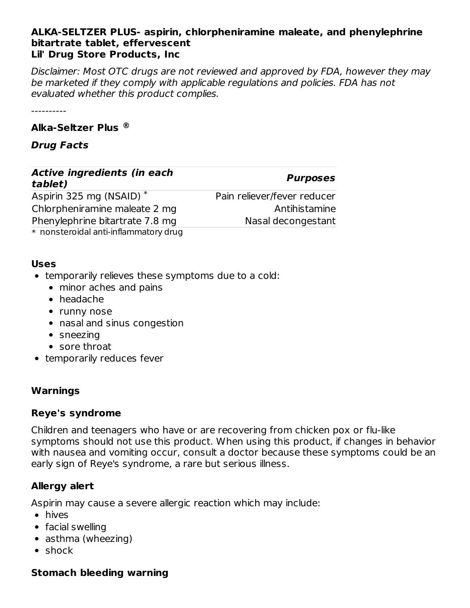#### **ALKA-SELTZER PLUS- aspirin, chlorpheniramine maleate, and phenylephrine bitartrate tablet, effervescent Lil' Drug Store Products, Inc**

Disclaimer: Most OTC drugs are not reviewed and approved by FDA, however they may be marketed if they comply with applicable regulations and policies. FDA has not evaluated whether this product complies.

----------

#### **Alka-Seltzer Plus ®**

### **Drug Facts**

| <b>Active ingredients (in each</b><br>tablet) | <b>Purposes</b>             |  |
|-----------------------------------------------|-----------------------------|--|
| Aspirin 325 mg (NSAID) *                      | Pain reliever/fever reducer |  |
| Chlorpheniramine maleate 2 mg                 | Antihistamine               |  |
| Phenylephrine bitartrate 7.8 mg               | Nasal decongestant          |  |
| $*$ nonsteroidal anti-inflammatory drugs      |                             |  |

\* nonsteroidal anti-inflammatory drug

#### **Uses**

- temporarily relieves these symptoms due to a cold:
	- minor aches and pains
	- headache
	- runny nose
	- nasal and sinus congestion
	- sneezing
	- sore throat
- temporarily reduces fever

### **Warnings**

### **Reye's syndrome**

Children and teenagers who have or are recovering from chicken pox or flu-like symptoms should not use this product. When using this product, if changes in behavior with nausea and vomiting occur, consult a doctor because these symptoms could be an early sign of Reye's syndrome, a rare but serious illness.

# **Allergy alert**

Aspirin may cause a severe allergic reaction which may include:

- hives
- facial swelling
- asthma (wheezing)
- shock

# **Stomach bleeding warning**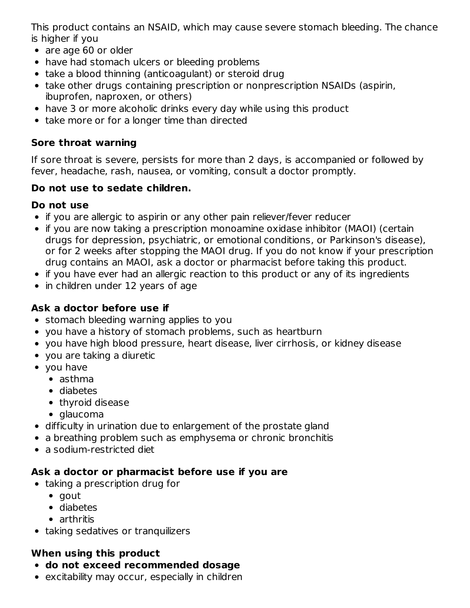This product contains an NSAID, which may cause severe stomach bleeding. The chance is higher if you

- are age 60 or older
- have had stomach ulcers or bleeding problems
- take a blood thinning (anticoagulant) or steroid drug
- take other drugs containing prescription or nonprescription NSAIDs (aspirin, ibuprofen, naproxen, or others)
- have 3 or more alcoholic drinks every day while using this product
- take more or for a longer time than directed

# **Sore throat warning**

If sore throat is severe, persists for more than 2 days, is accompanied or followed by fever, headache, rash, nausea, or vomiting, consult a doctor promptly.

## **Do not use to sedate children.**

## **Do not use**

- if you are allergic to aspirin or any other pain reliever/fever reducer
- if you are now taking a prescription monoamine oxidase inhibitor (MAOI) (certain drugs for depression, psychiatric, or emotional conditions, or Parkinson's disease), or for 2 weeks after stopping the MAOI drug. If you do not know if your prescription drug contains an MAOI, ask a doctor or pharmacist before taking this product.
- if you have ever had an allergic reaction to this product or any of its ingredients
- in children under 12 years of age

# **Ask a doctor before use if**

- stomach bleeding warning applies to you
- you have a history of stomach problems, such as heartburn
- you have high blood pressure, heart disease, liver cirrhosis, or kidney disease
- you are taking a diuretic
- you have
	- asthma
	- diabetes
	- thyroid disease
	- glaucoma
- difficulty in urination due to enlargement of the prostate gland
- a breathing problem such as emphysema or chronic bronchitis
- a sodium-restricted diet

# **Ask a doctor or pharmacist before use if you are**

- taking a prescription drug for
	- gout
	- diabetes
	- arthritis
- taking sedatives or tranquilizers

# **When using this product**

- **do not exceed recommended dosage**
- excitability may occur, especially in children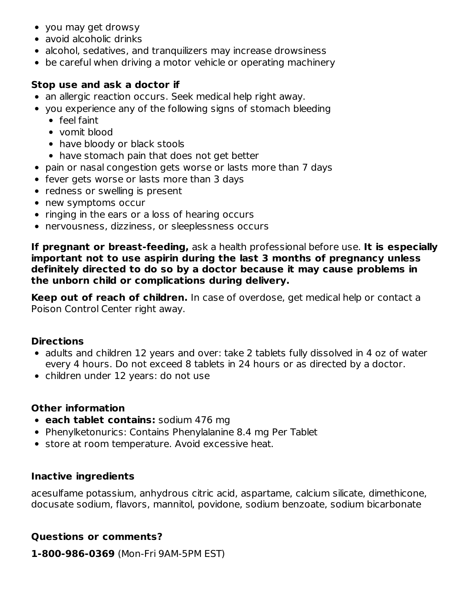- you may get drowsy
- avoid alcoholic drinks
- alcohol, sedatives, and tranquilizers may increase drowsiness
- be careful when driving a motor vehicle or operating machinery

## **Stop use and ask a doctor if**

- an allergic reaction occurs. Seek medical help right away.
- you experience any of the following signs of stomach bleeding
	- feel faint
	- vomit blood
	- have bloody or black stools
	- have stomach pain that does not get better
- pain or nasal congestion gets worse or lasts more than 7 days
- fever gets worse or lasts more than 3 days
- redness or swelling is present
- new symptoms occur
- ringing in the ears or a loss of hearing occurs
- nervousness, dizziness, or sleeplessness occurs

**If pregnant or breast-feeding,** ask a health professional before use. **It is especially important not to use aspirin during the last 3 months of pregnancy unless definitely directed to do so by a doctor because it may cause problems in the unborn child or complications during delivery.**

**Keep out of reach of children.** In case of overdose, get medical help or contact a Poison Control Center right away.

#### **Directions**

- adults and children 12 years and over: take 2 tablets fully dissolved in 4 oz of water every 4 hours. Do not exceed 8 tablets in 24 hours or as directed by a doctor.
- children under 12 years: do not use

### **Other information**

- **each tablet contains:** sodium 476 mg
- Phenylketonurics: Contains Phenylalanine 8.4 mg Per Tablet
- **•** store at room temperature. Avoid excessive heat.

### **Inactive ingredients**

acesulfame potassium, anhydrous citric acid, aspartame, calcium silicate, dimethicone, docusate sodium, flavors, mannitol, povidone, sodium benzoate, sodium bicarbonate

### **Questions or comments?**

**1-800-986-0369** (Mon-Fri 9AM-5PM EST)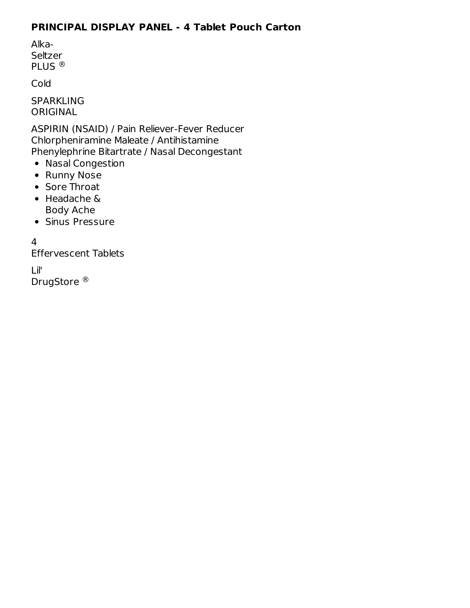## **PRINCIPAL DISPLAY PANEL - 4 Tablet Pouch Carton**

Alka-Seltzer PLUS ®

Cold

SPARKLING ORIGINAL

ASPIRIN (NSAID) / Pain Reliever-Fever Reducer Chlorpheniramine Maleate / Antihistamine Phenylephrine Bitartrate / Nasal Decongestant

- Nasal Congestion
- Runny Nose
- Sore Throat
- Headache & Body Ache
- **Sinus Pressure**

4

Effervescent Tablets

Lil' DrugStore<sup>®</sup>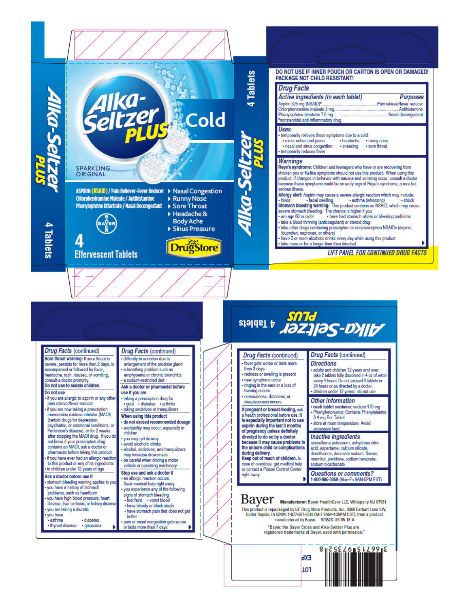

EXb 101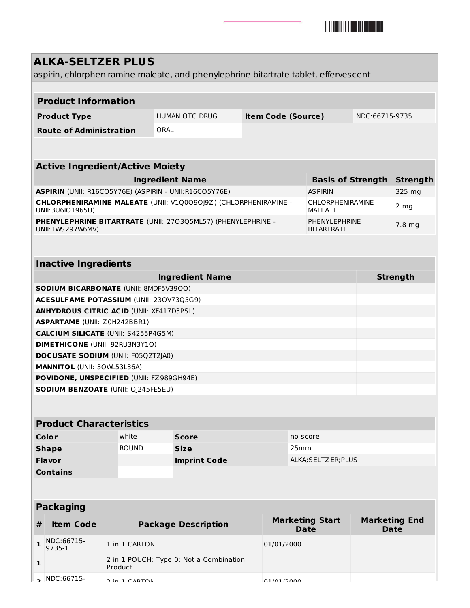

## **ALKA-SELTZER PLUS** aspirin, chlorpheniramine maleate, and phenylephrine bitartrate tablet, effervescent **Product Information Product Type** HUMAN OTC DRUG **Item Code (Source)** NDC:66715-9735 **Route of Administration** ORAL **Active Ingredient/Active Moiety Ingredient Name Basis of Strength Strength ASPIRIN** (UNII: R16CO5Y76E) (ASPIRIN - UNII:R16CO5Y76E) ASPIRIN ASPIRIN 325 mg **CHLORPHENIRAMINE MALEATE** (UNII: V1Q0O9OJ9Z) (CHLORPHENIRAMINE - UNII:3U6IO1965U) CHLORPHENIRAMINE MALEATE 2 mg **PHENYLEPHRINE BITARTRATE** (UNII: 27O3Q5ML57) (PHENYLEPHRINE - UNII:1WS297W6MV) PHENYLEPHRINE **BITARTRATE** 7.8 mg **Inactive Ingredients Ingredient Name Strength SODIUM BICARBONATE** (UNII: 8MDF5V39QO) **ACESULFAME POTASSIUM** (UNII: 23OV73Q5G9) **ANHYDROUS CITRIC ACID** (UNII: XF417D3PSL) **ASPARTAME** (UNII: Z0H242BBR1) **CALCIUM SILICATE** (UNII: S4255P4G5M) **DIMETHICONE** (UNII: 92RU3N3Y1O) **DOCUSATE SODIUM** (UNII: F05Q2T2JA0) **MANNITOL** (UNII: 3OWL53L36A) **POVIDONE, UNSPECIFIED** (UNII: FZ989GH94E) **SODIUM BENZOATE** (UNII: OJ245FE5EU) **Product Characteristics Color Color Number is the Score Color no** score **Shape** ROUND **Size** 25mm **Flavor Imprint Code** ALKA;SELTZER;PLUS **Contains Packaging # Item Code Package Description Marketing Start Date Marketing End Date**

|                          |                                                    | Date       | Date |
|--------------------------|----------------------------------------------------|------------|------|
| NDC:66715-<br>$9735 - 1$ | 1 in 1 CARTON                                      | 01/01/2000 |      |
|                          | 2 in 1 POUCH; Type 0: Not a Combination<br>Product |            |      |
| $\sim$ NDC:66715-        | $2.4$ CADTOM                                       | 01/01/2000 |      |